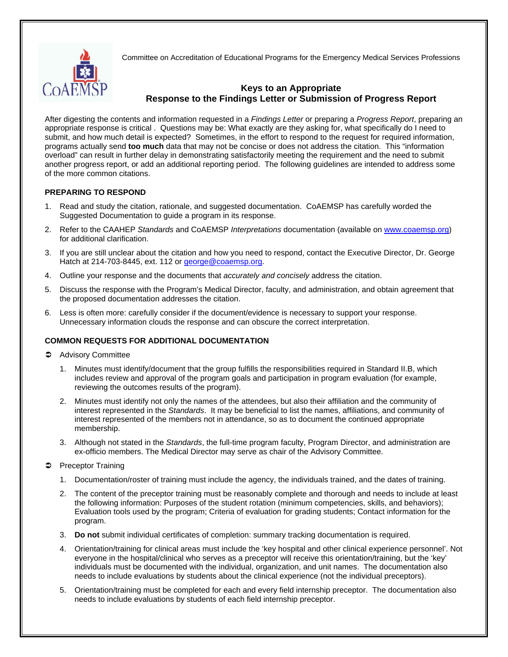

Committee on Accreditation of Educational Programs for the Emergency Medical Services Professions

## **Keys to an Appropriate Response to the Findings Letter or Submission of Progress Report**

After digesting the contents and information requested in a *Findings Letter* or preparing a *Progress Report*, preparing an appropriate response is critical . Questions may be: What exactly are they asking for, what specifically do I need to submit, and how much detail is expected? Sometimes, in the effort to respond to the request for required information, programs actually send **too much** data that may not be concise or does not address the citation. This "information overload" can result in further delay in demonstrating satisfactorily meeting the requirement and the need to submit another progress report, or add an additional reporting period. The following guidelines are intended to address some of the more common citations.

## **PREPARING TO RESPOND**

- 1. Read and study the citation, rationale, and suggested documentation. CoAEMSP has carefully worded the Suggested Documentation to guide a program in its response.
- 2. Refer to the CAAHEP *Standards* and CoAEMSP *Interpretations* documentation (available on [www.coaemsp.org](http://www.coaemsp.org/)) for additional clarification.
- 3. If you are still unclear about the citation and how you need to respond, contact the Executive Director, Dr. George Hatch at 214-703-8445, ext. 112 or [george@coaemsp.org](mailto:george@coaemsp.org).
- 4. Outline your response and the documents that *accurately and concisely* address the citation.
- 5. Discuss the response with the Program's Medical Director, faculty, and administration, and obtain agreement that the proposed documentation addresses the citation.
- 6. Less is often more: carefully consider if the document/evidence is necessary to support your response. Unnecessary information clouds the response and can obscure the correct interpretation.

## **COMMON REQUESTS FOR ADDITIONAL DOCUMENTATION**

- **C** Advisory Committee
	- 1. Minutes must identify/document that the group fulfills the responsibilities required in Standard II.B, which includes review and approval of the program goals and participation in program evaluation (for example, reviewing the outcomes results of the program).
	- 2. Minutes must identify not only the names of the attendees, but also their affiliation and the community of interest represented in the *Standards*. It may be beneficial to list the names, affiliations, and community of interest represented of the members not in attendance, so as to document the continued appropriate membership.
	- 3. Although not stated in the *Standards*, the full-time program faculty, Program Director, and administration are ex-officio members. The Medical Director may serve as chair of the Advisory Committee.
- **Preceptor Training** 
	- 1. Documentation/roster of training must include the agency, the individuals trained, and the dates of training.
	- 2. The content of the preceptor training must be reasonably complete and thorough and needs to include at least the following information: Purposes of the student rotation (minimum competencies, skills, and behaviors); Evaluation tools used by the program; Criteria of evaluation for grading students; Contact information for the program.
	- 3. **Do not** submit individual certificates of completion: summary tracking documentation is required.
	- 4. Orientation/training for clinical areas must include the 'key hospital and other clinical experience personnel'. Not everyone in the hospital/clinical who serves as a preceptor will receive this orientation/training, but the 'key' individuals must be documented with the individual, organization, and unit names. The documentation also needs to include evaluations by students about the clinical experience (not the individual preceptors).
	- 5. Orientation/training must be completed for each and every field internship preceptor. The documentation also needs to include evaluations by students of each field internship preceptor.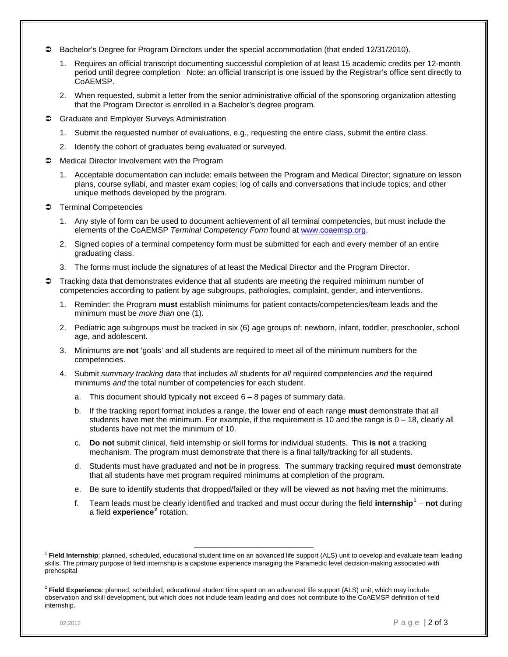- Bachelor's Degree for Program Directors under the special accommodation (that ended 12/31/2010).
	- 1. Requires an official transcript documenting successful completion of at least 15 academic credits per 12-month period until degree completion Note: an official transcript is one issued by the Registrar's office sent directly to CoAEMSP.
	- 2. When requested, submit a letter from the senior administrative official of the sponsoring organization attesting that the Program Director is enrolled in a Bachelor's degree program.
- **C** Graduate and Employer Surveys Administration
	- 1. Submit the requested number of evaluations, e.g., requesting the entire class, submit the entire class.
	- 2. Identify the cohort of graduates being evaluated or surveyed.
- Medical Director Involvement with the Program
	- 1. Acceptable documentation can include: emails between the Program and Medical Director; signature on lesson plans, course syllabi, and master exam copies; log of calls and conversations that include topics; and other unique methods developed by the program.
- **Terminal Competencies** 
	- 1. Any style of form can be used to document achievement of all terminal competencies, but must include the elements of the CoAEMSP *Terminal Competency Form* found at [www.coaemsp.org](http://www.coaemsp.org/).
	- 2. Signed copies of a terminal competency form must be submitted for each and every member of an entire graduating class.
	- 3. The forms must include the signatures of at least the Medical Director and the Program Director.
- Tracking data that demonstrates evidence that all students are meeting the required minimum number of competencies according to patient by age subgroups, pathologies, complaint, gender, and interventions.
	- 1. Reminder: the Program **must** establish minimums for patient contacts/competencies/team leads and the minimum must be *more than* one (1).
	- 2. Pediatric age subgroups must be tracked in six (6) age groups of: newborn, infant, toddler, preschooler, school age, and adolescent.
	- 3. Minimums are **not** 'goals' and all students are required to meet all of the minimum numbers for the competencies.
	- 4. Submit *summary tracking data* that includes *all* students for *all* required competencies *and* the required minimums *and* the total number of competencies for each student.
		- a. This document should typically **not** exceed 6 8 pages of summary data.
		- b. If the tracking report format includes a range, the lower end of each range **must** demonstrate that all students have met the minimum. For example, if the requirement is 10 and the range is 0 – 18, clearly all students have not met the minimum of 10.
		- c. **Do not** submit clinical, field internship or skill forms for individual students. This **is not** a tracking mechanism. The program must demonstrate that there is a final tally/tracking for all students.
		- d. Students must have graduated and **not** be in progress. The summary tracking required **must** demonstrate that all students have met program required minimums at completion of the program.
		- e. Be sure to identify students that dropped/failed or they will be viewed as **not** having met the minimums.
		- f. Team leads must be clearly identified and tracked and must occur during the field **internship[1](#page-1-0)** – **not** during a field **experience**<sup>[2](#page-1-1)</sup> rotation.

<span id="page-1-0"></span> <sup>1</sup> **Field Internship**: planned, scheduled, educational student time on an advanced life support (ALS) unit to develop and evaluate team leading skills. The primary purpose of field internship is a capstone experience managing the Paramedic level decision-making associated with prehospital

<span id="page-1-1"></span><sup>2</sup> **Field Experience**: planned, scheduled, educational student time spent on an advanced life support (ALS) unit, which may include observation and skill development, but which does not include team leading and does not contribute to the CoAEMSP definition of field internship.